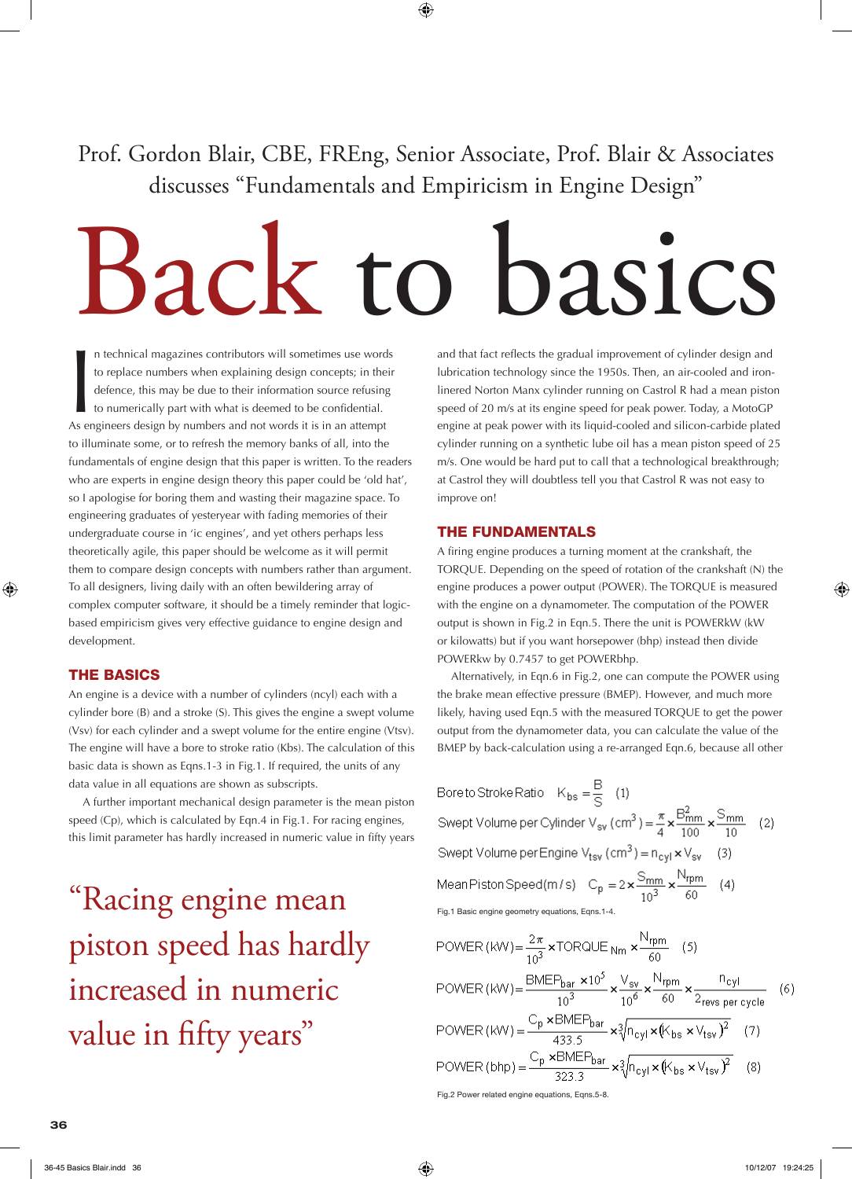Prof. Gordon Blair, CBE, FREng, Senior Associate, Prof. Blair & Associates discusses "Fundamentals and Empiricism in Engine Design"

# Back to basics

In technical magazines contributors will sometimes use word<br>to replace numbers when explaining design concepts; in the<br>defence, this may be due to their information source refusing<br>to numerically part with what is deemed t n technical magazines contributors will sometimes use words to replace numbers when explaining design concepts; in their defence, this may be due to their information source refusing to numerically part with what is deemed to be confidential. to illuminate some, or to refresh the memory banks of all, into the fundamentals of engine design that this paper is written. To the readers who are experts in engine design theory this paper could be 'old hat', so I apologise for boring them and wasting their magazine space. To engineering graduates of yesteryear with fading memories of their undergraduate course in 'ic engines', and yet others perhaps less theoretically agile, this paper should be welcome as it will permit them to compare design concepts with numbers rather than argument. To all designers, living daily with an often bewildering array of complex computer software, it should be a timely reminder that logicbased empiricism gives very effective guidance to engine design and development.

#### THE BASICS

An engine is a device with a number of cylinders (ncyl) each with a cylinder bore (B) and a stroke (S). This gives the engine a swept volume (Vsv) for each cylinder and a swept volume for the entire engine (Vtsv). The engine will have a bore to stroke ratio (Kbs). The calculation of this basic data is shown as Eqns.1-3 in Fig.1. If required, the units of any data value in all equations are shown as subscripts.

 A further important mechanical design parameter is the mean piston speed (Cp), which is calculated by Eqn.4 in Fig.1. For racing engines, this limit parameter has hardly increased in numeric value in fifty years

"Racing engine mean piston speed has hardly increased in numeric value in fifty years"

and that fact reflects the gradual improvement of cylinder design and lubrication technology since the 1950s. Then, an air-cooled and ironlinered Norton Manx cylinder running on Castrol R had a mean piston speed of 20 m/s at its engine speed for peak power. Today, a MotoGP engine at peak power with its liquid-cooled and silicon-carbide plated cylinder running on a synthetic lube oil has a mean piston speed of 25 m/s. One would be hard put to call that a technological breakthrough; at Castrol they will doubtless tell you that Castrol R was not easy to improve on!

### THE FUNDAMENTALS

A firing engine produces a turning moment at the crankshaft, the TORQUE. Depending on the speed of rotation of the crankshaft (N) the engine produces a power output (POWER). The TORQUE is measured with the engine on a dynamometer. The computation of the POWER output is shown in Fig.2 in Eqn.5. There the unit is POWERkW (kW or kilowatts) but if you want horsepower (bhp) instead then divide POWERkw by 0.7457 to get POWERbhp.

 Alternatively, in Eqn.6 in Fig.2, one can compute the POWER using the brake mean effective pressure (BMEP). However, and much more likely, having used Eqn.5 with the measured TORQUE to get the power output from the dynamometer data, you can calculate the value of the BMEP by back-calculation using a re-arranged Eqn.6, because all other

Bore to Stroke Ratio  $K_{bs} = \frac{B}{S}$  (1) Swept Volume per Cylinder V<sub>sv</sub> (cm<sup>3</sup>) =  $\frac{\pi}{4} \times \frac{B_{mm}^2}{100} \times \frac{S_{mm}}{10}$  (2) Swept Volume per Engine  $V_{\text{tsv}}$  (cm<sup>3</sup>) =  $n_{\text{cv}} \times V_{\text{sv}}$  (3) Mean Piston Speed (m/s)  $C_p = 2 \times \frac{S_{mm}}{10^3} \times \frac{N_{rpm}}{60}$  (4) Fig.1 Basic engine geometry equations, Eqns.1-4.

POWER (kW) = 
$$
\frac{2\pi}{10^3} \times \text{TORQUE}_{\text{Nm}} \times \frac{N_{\text{rpm}}}{60} \quad (5)
$$

\nPOWER (kW) = 
$$
\frac{\text{BMEP}_{\text{bar}} \times 10^5}{10^3} \times \frac{V_{\text{sv}}}{10^6} \times \frac{N_{\text{rpm}}}{60} \times \frac{N_{\text{cyl}}}{2_{\text{revs per cycle}}}
$$
 (6)

\nPOWER (kW) = 
$$
\frac{C_p \times \text{BMEP}_{\text{bar}}}{433.5} \times \sqrt[3]{n_{\text{cyl}} \times (k_{\text{bs}} \times V_{\text{tsv}})^2}
$$
 (7)

\nPOWER (bhp) = 
$$
\frac{C_p \times \text{BMEP}_{\text{bar}}}{323.3} \times \sqrt[3]{n_{\text{cyl}} \times (k_{\text{bs}} \times V_{\text{tsv}})^2}
$$
 (8)

\nFig.2 Power related engine equations, Eqs. 5-8.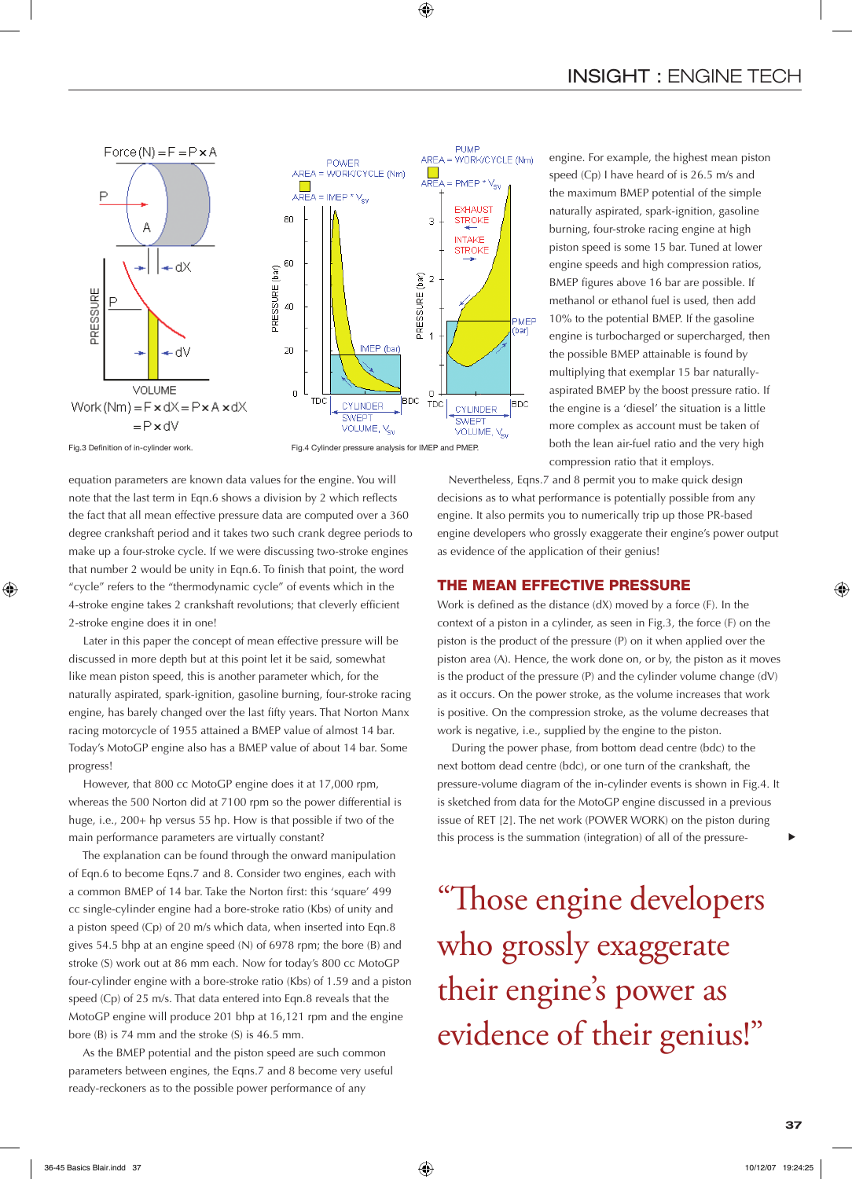

Fig.3 Definition of in-cylinder work. Fig.4 Cylinder pressure analysis for IMEP and PMEP.

equation parameters are known data values for the engine. You will note that the last term in Eqn.6 shows a division by 2 which reflects the fact that all mean effective pressure data are computed over a 360 degree crankshaft period and it takes two such crank degree periods to make up a four-stroke cycle. If we were discussing two-stroke engines that number 2 would be unity in Eqn.6. To finish that point, the word "cycle" refers to the "thermodynamic cycle" of events which in the 4-stroke engine takes 2 crankshaft revolutions; that cleverly efficient 2-stroke engine does it in one!

 Later in this paper the concept of mean effective pressure will be discussed in more depth but at this point let it be said, somewhat like mean piston speed, this is another parameter which, for the naturally aspirated, spark-ignition, gasoline burning, four-stroke racing engine, has barely changed over the last fifty years. That Norton Manx racing motorcycle of 1955 attained a BMEP value of almost 14 bar. Today's MotoGP engine also has a BMEP value of about 14 bar. Some progress!

 However, that 800 cc MotoGP engine does it at 17,000 rpm, whereas the 500 Norton did at 7100 rpm so the power differential is huge, i.e., 200+ hp versus 55 hp. How is that possible if two of the main performance parameters are virtually constant?

 The explanation can be found through the onward manipulation of Eqn.6 to become Eqns.7 and 8. Consider two engines, each with a common BMEP of 14 bar. Take the Norton first: this 'square' 499 cc single-cylinder engine had a bore-stroke ratio (Kbs) of unity and a piston speed (Cp) of 20 m/s which data, when inserted into Eqn.8 gives 54.5 bhp at an engine speed (N) of 6978 rpm; the bore (B) and stroke (S) work out at 86 mm each. Now for today's 800 cc MotoGP four-cylinder engine with a bore-stroke ratio (Kbs) of 1.59 and a piston speed (Cp) of 25 m/s. That data entered into Eqn.8 reveals that the MotoGP engine will produce 201 bhp at 16,121 rpm and the engine bore (B) is 74 mm and the stroke (S) is 46.5 mm.

 As the BMEP potential and the piston speed are such common parameters between engines, the Eqns.7 and 8 become very useful ready-reckoners as to the possible power performance of any

engine. For example, the highest mean piston speed (Cp) I have heard of is 26.5 m/s and the maximum BMEP potential of the simple naturally aspirated, spark-ignition, gasoline burning, four-stroke racing engine at high piston speed is some 15 bar. Tuned at lower engine speeds and high compression ratios, BMEP figures above 16 bar are possible. If methanol or ethanol fuel is used, then add 10% to the potential BMEP. If the gasoline engine is turbocharged or supercharged, then the possible BMEP attainable is found by multiplying that exemplar 15 bar naturallyaspirated BMEP by the boost pressure ratio. If the engine is a 'diesel' the situation is a little more complex as account must be taken of both the lean air-fuel ratio and the very high compression ratio that it employs.

Nevertheless, Eqns.7 and 8 permit you to make quick design decisions as to what performance is potentially possible from any engine. It also permits you to numerically trip up those PR-based engine developers who grossly exaggerate their engine's power output as evidence of the application of their genius!

#### THE MEAN EFFECTIVE PRESSURE

Work is defined as the distance (dX) moved by a force (F). In the context of a piston in a cylinder, as seen in Fig.3, the force (F) on the piston is the product of the pressure (P) on it when applied over the piston area (A). Hence, the work done on, or by, the piston as it moves is the product of the pressure (P) and the cylinder volume change (dV) as it occurs. On the power stroke, as the volume increases that work is positive. On the compression stroke, as the volume decreases that work is negative, i.e., supplied by the engine to the piston.

 During the power phase, from bottom dead centre (bdc) to the next bottom dead centre (bdc), or one turn of the crankshaft, the pressure-volume diagram of the in-cylinder events is shown in Fig.4. It is sketched from data for the MotoGP engine discussed in a previous issue of RET [2]. The net work (POWER WORK) on the piston during this process is the summation (integration) of all of the pressure-

"Those engine developers who grossly exaggerate their engine's power as evidence of their genius!"

t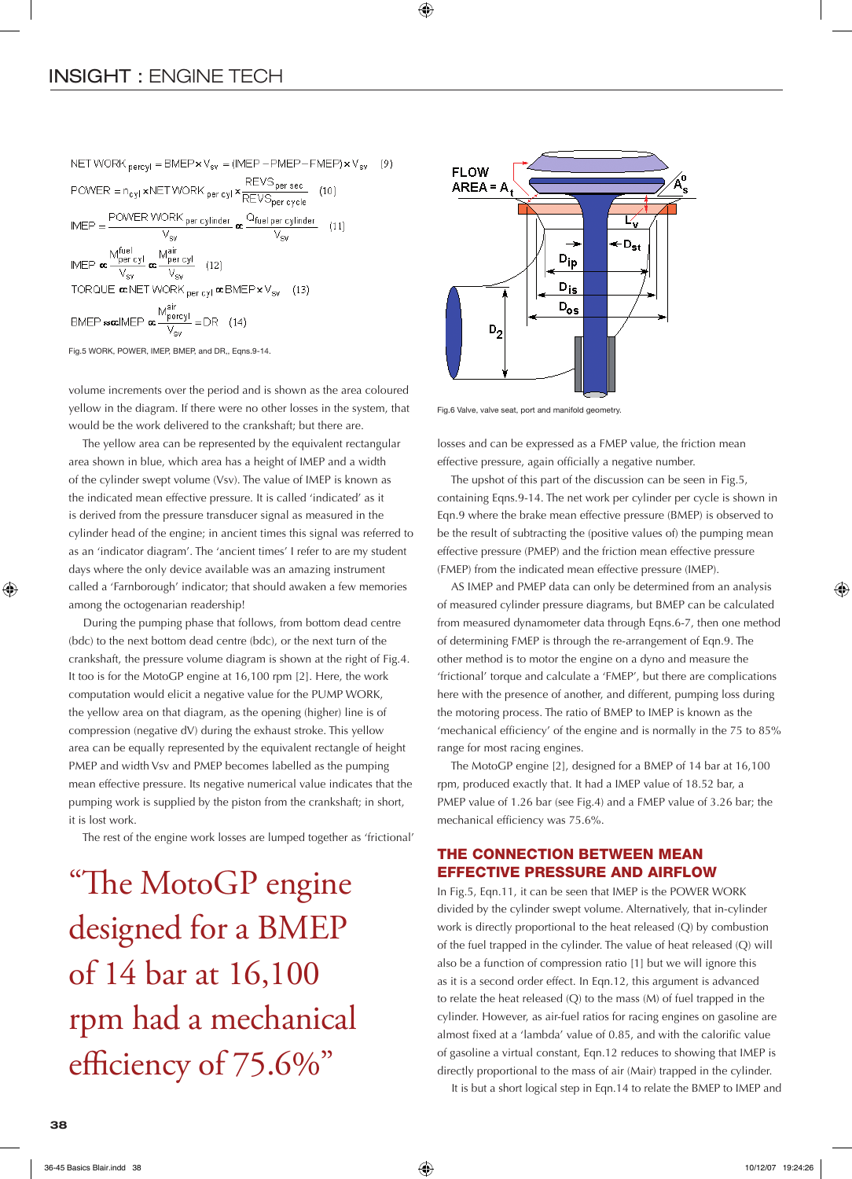NET WORK  $_{\text{percyl}}$  = BMEP  $\times$  V<sub>sv</sub> = (IMEP - PMEP - FMEP)  $\times$  V<sub>sv</sub>  $\text{POWER} = n_{cyl} \times \text{NET WORK}_{per\, cyl} \times \frac{\text{REVS}_{per\,sec}}{\text{REVS}_{per\,cycle}} \quad (10)$  $\text{IMEP} = \frac{\text{POWER WORK per cylinder}}{V_{\text{sv}}} \propto \frac{Q_{\text{fuel per cylinder}}}{V_{\text{sv}}}$  (11)  $\mathsf{IMEP}\xspace \mathop{\mathbf{ac}}\limits^{\mathop{\mathbf{M}}\limits^{\mathop{\mathbf{fuel}}\limits^{\mathop{\mathbf{fvel}}\limits^{\mathop{\mathbf{fvel}}\limits^{\mathop{\mathbf{fvel}}\limits^{\mathop{\mathbf{fvel}}\limits^{\mathop{\mathbf{fvel}}\limits^{\mathop{\mathbf{fvel}}\limits^{\mathop{\mathbf{fvel}}\limits^{\mathop{\mathbf{fvel}}\limits^{\mathop{\mathbf{fvel}}\limits^{\mathop{\mathbf{fvel}}\limits^{\mathop{\mathbf{fvel}}\limits^{\mathop{\mathbf{fvel}}\limits^{\mathop{\math$ TORQUE  $\alpha$  NET WORK per cyl  $\alpha$  BMEP  $\times$  V<sub>sv</sub> (13) BMEP sociMEP  $\mathbf{\alpha} \frac{\text{M}^{\text{air}}_{\text{pervyl}}}{V_{\text{cw}}}$  = DR (14)

Fig.5 WORK, POWER, IMEP, BMEP, and DR,, Eqns.9-14.

volume increments over the period and is shown as the area coloured yellow in the diagram. If there were no other losses in the system, that would be the work delivered to the crankshaft; but there are.

 The yellow area can be represented by the equivalent rectangular area shown in blue, which area has a height of IMEP and a width of the cylinder swept volume (Vsv). The value of IMEP is known as the indicated mean effective pressure. It is called 'indicated' as it is derived from the pressure transducer signal as measured in the cylinder head of the engine; in ancient times this signal was referred to as an 'indicator diagram'. The 'ancient times' I refer to are my student days where the only device available was an amazing instrument called a 'Farnborough' indicator; that should awaken a few memories among the octogenarian readership!

 During the pumping phase that follows, from bottom dead centre (bdc) to the next bottom dead centre (bdc), or the next turn of the crankshaft, the pressure volume diagram is shown at the right of Fig.4. It too is for the MotoGP engine at 16,100 rpm [2]. Here, the work computation would elicit a negative value for the PUMP WORK, the yellow area on that diagram, as the opening (higher) line is of compression (negative dV) during the exhaust stroke. This yellow area can be equally represented by the equivalent rectangle of height PMEP and width Vsv and PMEP becomes labelled as the pumping mean effective pressure. Its negative numerical value indicates that the pumping work is supplied by the piston from the crankshaft; in short, it is lost work.

The rest of the engine work losses are lumped together as 'frictional'

"The MotoGP engine designed for a BMEP of 14 bar at 16,100 rpm had a mechanical efficiency of 75.6%"



Fig.6 Valve, valve seat, port and manifold geometry.

losses and can be expressed as a FMEP value, the friction mean effective pressure, again officially a negative number.

 The upshot of this part of the discussion can be seen in Fig.5, containing Eqns.9-14. The net work per cylinder per cycle is shown in Eqn.9 where the brake mean effective pressure (BMEP) is observed to be the result of subtracting the (positive values of) the pumping mean effective pressure (PMEP) and the friction mean effective pressure (FMEP) from the indicated mean effective pressure (IMEP).

 AS IMEP and PMEP data can only be determined from an analysis of measured cylinder pressure diagrams, but BMEP can be calculated from measured dynamometer data through Eqns.6-7, then one method of determining FMEP is through the re-arrangement of Eqn.9. The other method is to motor the engine on a dyno and measure the 'frictional' torque and calculate a 'FMEP', but there are complications here with the presence of another, and different, pumping loss during the motoring process. The ratio of BMEP to IMEP is known as the 'mechanical efficiency' of the engine and is normally in the 75 to 85% range for most racing engines.

 The MotoGP engine [2], designed for a BMEP of 14 bar at 16,100 rpm, produced exactly that. It had a IMEP value of 18.52 bar, a PMEP value of 1.26 bar (see Fig.4) and a FMEP value of 3.26 bar; the mechanical efficiency was 75.6%.

## THE CONNECTION BETWEEN MEAN EFFECTIVE PRESSURE AND AIRFLOW

In Fig.5, Eqn.11, it can be seen that IMEP is the POWER WORK divided by the cylinder swept volume. Alternatively, that in-cylinder work is directly proportional to the heat released (Q) by combustion of the fuel trapped in the cylinder. The value of heat released (Q) will also be a function of compression ratio [1] but we will ignore this as it is a second order effect. In Eqn.12, this argument is advanced to relate the heat released (Q) to the mass (M) of fuel trapped in the cylinder. However, as air-fuel ratios for racing engines on gasoline are almost fixed at a 'lambda' value of 0.85, and with the calorific value of gasoline a virtual constant, Eqn.12 reduces to showing that IMEP is directly proportional to the mass of air (Mair) trapped in the cylinder.

It is but a short logical step in Eqn.14 to relate the BMEP to IMEP and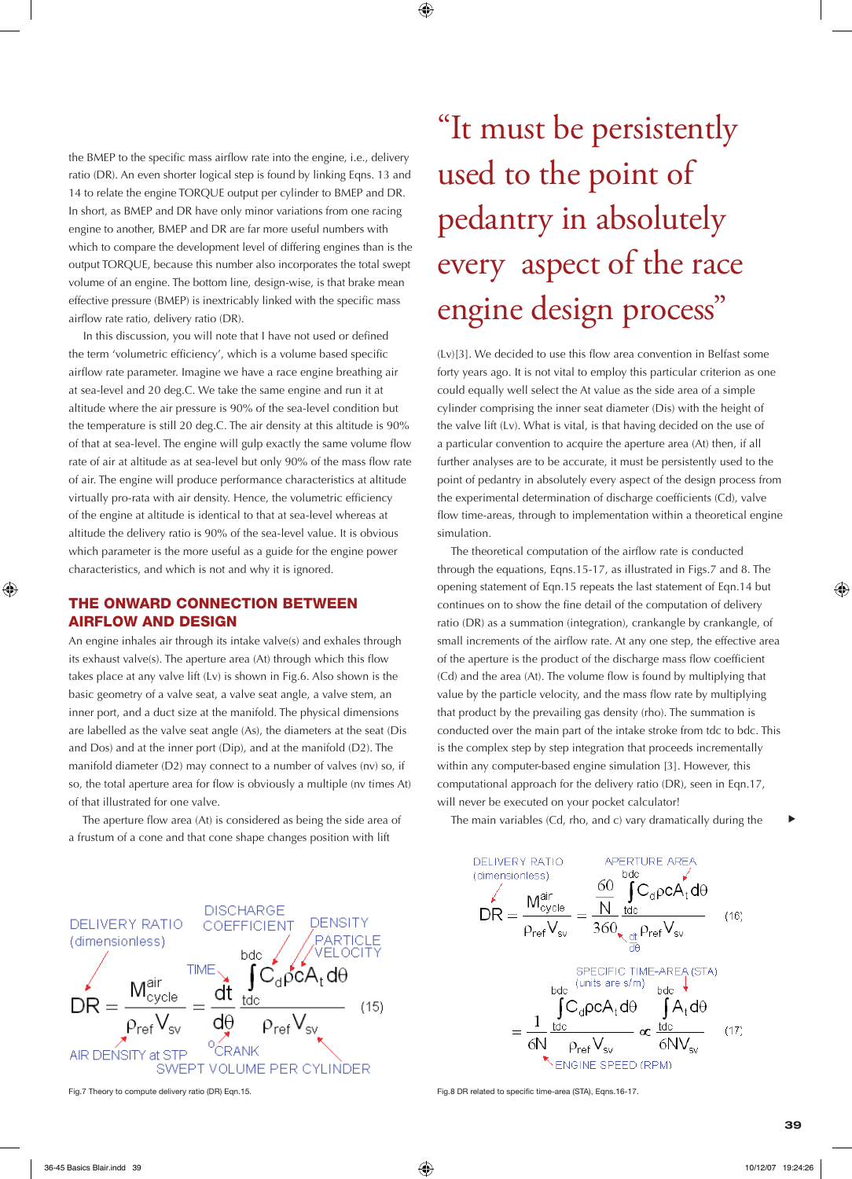the BMEP to the specific mass airflow rate into the engine, i.e., delivery ratio (DR). An even shorter logical step is found by linking Eqns. 13 and 14 to relate the engine TORQUE output per cylinder to BMEP and DR. In short, as BMEP and DR have only minor variations from one racing engine to another, BMEP and DR are far more useful numbers with which to compare the development level of differing engines than is the output TORQUE, because this number also incorporates the total swept volume of an engine. The bottom line, design-wise, is that brake mean effective pressure (BMEP) is inextricably linked with the specific mass airflow rate ratio, delivery ratio (DR).

 In this discussion, you will note that I have not used or defined the term 'volumetric efficiency', which is a volume based specific airflow rate parameter. Imagine we have a race engine breathing air at sea-level and 20 deg.C. We take the same engine and run it at altitude where the air pressure is 90% of the sea-level condition but the temperature is still 20 deg.C. The air density at this altitude is 90% of that at sea-level. The engine will gulp exactly the same volume flow rate of air at altitude as at sea-level but only 90% of the mass flow rate of air. The engine will produce performance characteristics at altitude virtually pro-rata with air density. Hence, the volumetric efficiency of the engine at altitude is identical to that at sea-level whereas at altitude the delivery ratio is 90% of the sea-level value. It is obvious which parameter is the more useful as a guide for the engine power characteristics, and which is not and why it is ignored.

### THE ONWARD CONNECTION BETWEEN AIRFLOW AND DESIGN

An engine inhales air through its intake valve(s) and exhales through its exhaust valve(s). The aperture area (At) through which this flow takes place at any valve lift (Lv) is shown in Fig.6. Also shown is the basic geometry of a valve seat, a valve seat angle, a valve stem, an inner port, and a duct size at the manifold. The physical dimensions are labelled as the valve seat angle (As), the diameters at the seat (Dis and Dos) and at the inner port (Dip), and at the manifold (D2). The manifold diameter (D2) may connect to a number of valves (nv) so, if so, the total aperture area for flow is obviously a multiple (nv times At) of that illustrated for one valve.

 The aperture flow area (At) is considered as being the side area of a frustum of a cone and that cone shape changes position with lift



# "It must be persistently used to the point of pedantry in absolutely every aspect of the race engine design process"

(Lv)[3]. We decided to use this flow area convention in Belfast some forty years ago. It is not vital to employ this particular criterion as one could equally well select the At value as the side area of a simple cylinder comprising the inner seat diameter (Dis) with the height of the valve lift (Lv). What is vital, is that having decided on the use of a particular convention to acquire the aperture area (At) then, if all further analyses are to be accurate, it must be persistently used to the point of pedantry in absolutely every aspect of the design process from the experimental determination of discharge coefficients (Cd), valve flow time-areas, through to implementation within a theoretical engine simulation.

 The theoretical computation of the airflow rate is conducted through the equations, Eqns.15-17, as illustrated in Figs.7 and 8. The opening statement of Eqn.15 repeats the last statement of Eqn.14 but continues on to show the fine detail of the computation of delivery ratio (DR) as a summation (integration), crankangle by crankangle, of small increments of the airflow rate. At any one step, the effective area of the aperture is the product of the discharge mass flow coefficient (Cd) and the area (At). The volume flow is found by multiplying that value by the particle velocity, and the mass flow rate by multiplying that product by the prevailing gas density (rho). The summation is conducted over the main part of the intake stroke from tdc to bdc. This is the complex step by step integration that proceeds incrementally within any computer-based engine simulation [3]. However, this computational approach for the delivery ratio (DR), seen in Eqn.17, will never be executed on your pocket calculator!

The main variables (Cd, rho, and c) vary dramatically during the



Fig.7 Theory to compute delivery ratio (DR) Eqn.15. Fig.7 Theory to compute delivery ratio (DR) Eqn.15.

t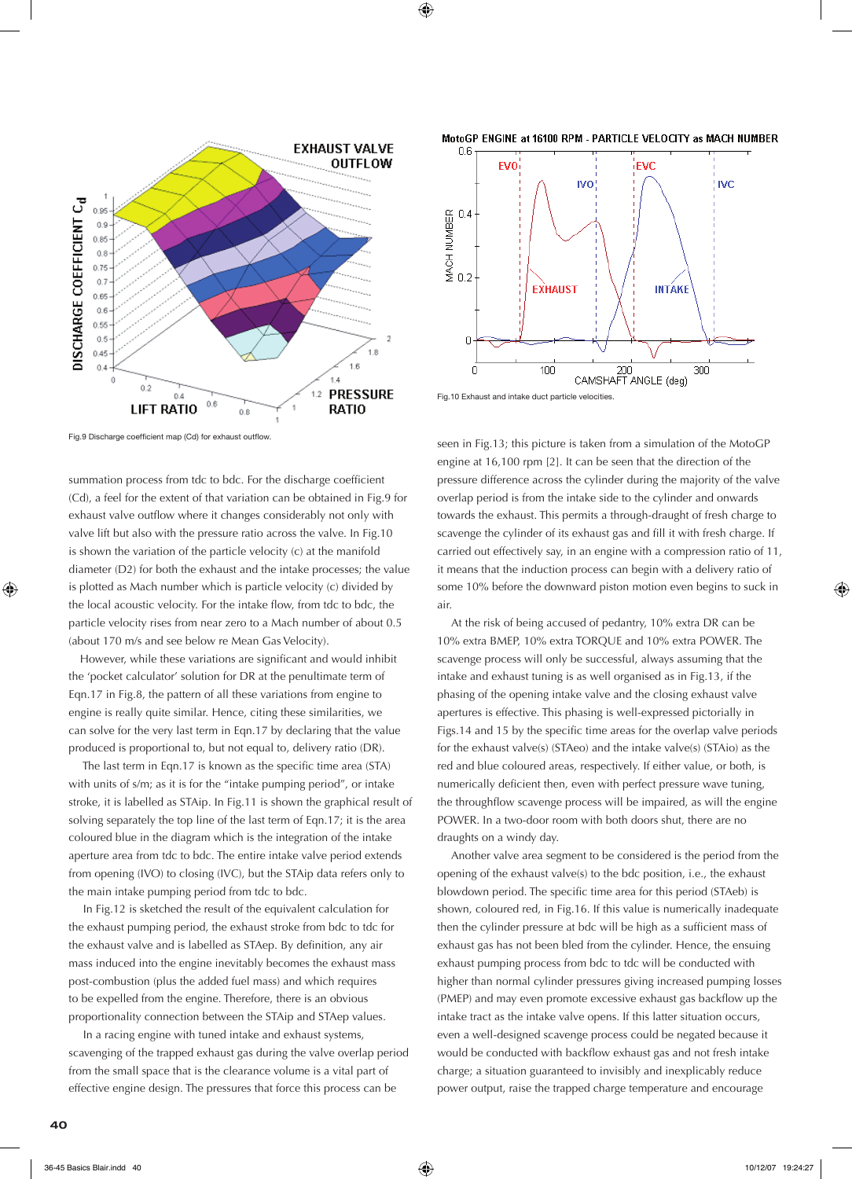

MotoGP ENGINE at 16100 RPM - PARTICLE VELOCITY as MACH NUMBER



Fig.10 Exhaust and intake duct particle velocities.

Fig.9 Discharge coefficient map (Cd) for exhaust outflow.

summation process from tdc to bdc. For the discharge coefficient (Cd), a feel for the extent of that variation can be obtained in Fig.9 for exhaust valve outflow where it changes considerably not only with valve lift but also with the pressure ratio across the valve. In Fig.10 is shown the variation of the particle velocity (c) at the manifold diameter (D2) for both the exhaust and the intake processes; the value is plotted as Mach number which is particle velocity (c) divided by the local acoustic velocity. For the intake flow, from tdc to bdc, the particle velocity rises from near zero to a Mach number of about 0.5 (about 170 m/s and see below re Mean Gas Velocity).

However, while these variations are significant and would inhibit the 'pocket calculator' solution for DR at the penultimate term of Eqn.17 in Fig.8, the pattern of all these variations from engine to engine is really quite similar. Hence, citing these similarities, we can solve for the very last term in Eqn.17 by declaring that the value produced is proportional to, but not equal to, delivery ratio (DR).

 The last term in Eqn.17 is known as the specific time area (STA) with units of s/m; as it is for the "intake pumping period", or intake stroke, it is labelled as STAip. In Fig.11 is shown the graphical result of solving separately the top line of the last term of Eqn.17; it is the area coloured blue in the diagram which is the integration of the intake aperture area from tdc to bdc. The entire intake valve period extends from opening (IVO) to closing (IVC), but the STAip data refers only to the main intake pumping period from tdc to bdc.

 In Fig.12 is sketched the result of the equivalent calculation for the exhaust pumping period, the exhaust stroke from bdc to tdc for the exhaust valve and is labelled as STAep. By definition, any air mass induced into the engine inevitably becomes the exhaust mass post-combustion (plus the added fuel mass) and which requires to be expelled from the engine. Therefore, there is an obvious proportionality connection between the STAip and STAep values.

 In a racing engine with tuned intake and exhaust systems, scavenging of the trapped exhaust gas during the valve overlap period from the small space that is the clearance volume is a vital part of effective engine design. The pressures that force this process can be

seen in Fig.13; this picture is taken from a simulation of the MotoGP engine at 16,100 rpm [2]. It can be seen that the direction of the pressure difference across the cylinder during the majority of the valve overlap period is from the intake side to the cylinder and onwards towards the exhaust. This permits a through-draught of fresh charge to scavenge the cylinder of its exhaust gas and fill it with fresh charge. If carried out effectively say, in an engine with a compression ratio of 11, it means that the induction process can begin with a delivery ratio of some 10% before the downward piston motion even begins to suck in air.

 At the risk of being accused of pedantry, 10% extra DR can be 10% extra BMEP, 10% extra TORQUE and 10% extra POWER. The scavenge process will only be successful, always assuming that the intake and exhaust tuning is as well organised as in Fig.13, if the phasing of the opening intake valve and the closing exhaust valve apertures is effective. This phasing is well-expressed pictorially in Figs.14 and 15 by the specific time areas for the overlap valve periods for the exhaust valve(s) (STAeo) and the intake valve(s) (STAio) as the red and blue coloured areas, respectively. If either value, or both, is numerically deficient then, even with perfect pressure wave tuning, the throughflow scavenge process will be impaired, as will the engine POWER. In a two-door room with both doors shut, there are no draughts on a windy day.

 Another valve area segment to be considered is the period from the opening of the exhaust valve(s) to the bdc position, i.e., the exhaust blowdown period. The specific time area for this period (STAeb) is shown, coloured red, in Fig.16. If this value is numerically inadequate then the cylinder pressure at bdc will be high as a sufficient mass of exhaust gas has not been bled from the cylinder. Hence, the ensuing exhaust pumping process from bdc to tdc will be conducted with higher than normal cylinder pressures giving increased pumping losses (PMEP) and may even promote excessive exhaust gas backflow up the intake tract as the intake valve opens. If this latter situation occurs, even a well-designed scavenge process could be negated because it would be conducted with backflow exhaust gas and not fresh intake charge; a situation guaranteed to invisibly and inexplicably reduce power output, raise the trapped charge temperature and encourage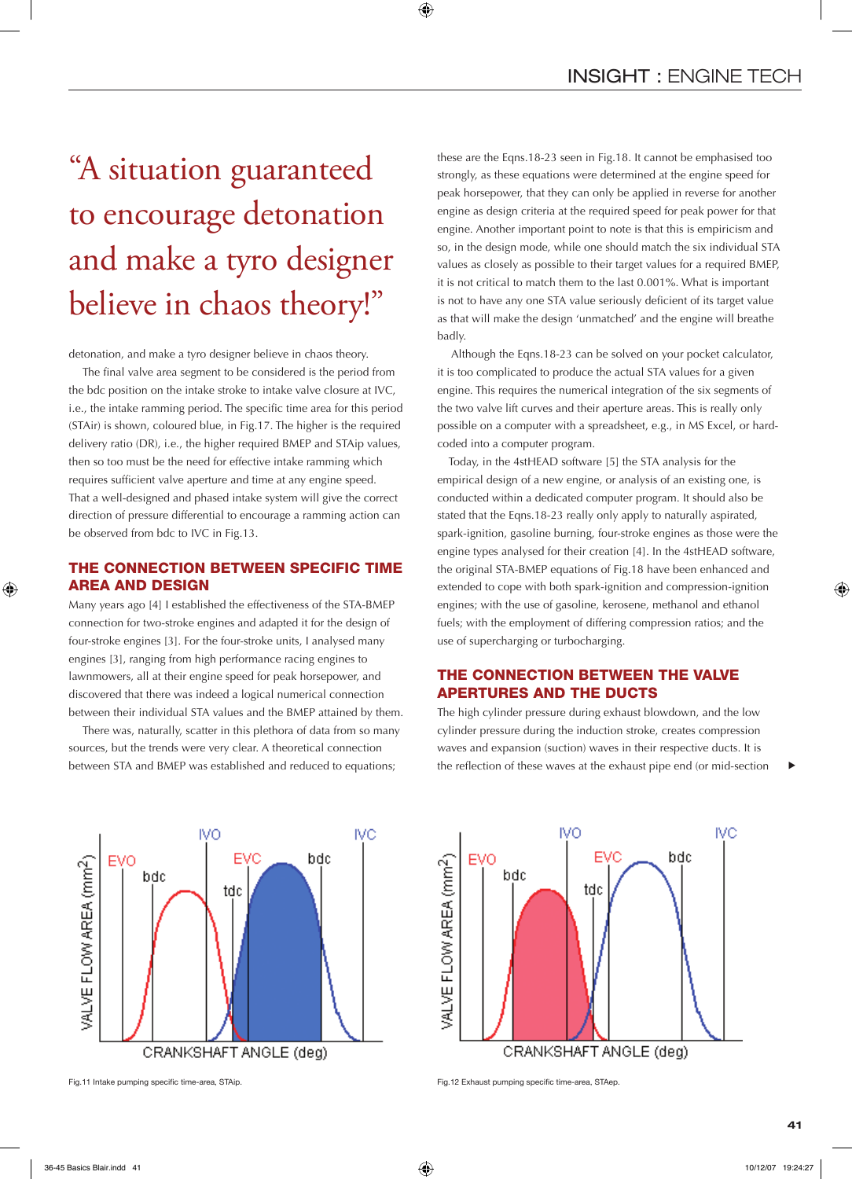# "A situation guaranteed to encourage detonation and make a tyro designer believe in chaos theory!"

detonation, and make a tyro designer believe in chaos theory.

 The final valve area segment to be considered is the period from the bdc position on the intake stroke to intake valve closure at IVC, i.e., the intake ramming period. The specific time area for this period (STAir) is shown, coloured blue, in Fig.17. The higher is the required delivery ratio (DR), i.e., the higher required BMEP and STAip values, then so too must be the need for effective intake ramming which requires sufficient valve aperture and time at any engine speed. That a well-designed and phased intake system will give the correct direction of pressure differential to encourage a ramming action can be observed from bdc to IVC in Fig.13.

## THE CONNECTION BETWEEN SPECIFIC TIME AREA AND DESIGN

Many years ago [4] I established the effectiveness of the STA-BMEP connection for two-stroke engines and adapted it for the design of four-stroke engines [3]. For the four-stroke units, I analysed many engines [3], ranging from high performance racing engines to lawnmowers, all at their engine speed for peak horsepower, and discovered that there was indeed a logical numerical connection between their individual STA values and the BMEP attained by them.

 There was, naturally, scatter in this plethora of data from so many sources, but the trends were very clear. A theoretical connection between STA and BMEP was established and reduced to equations;

these are the Eqns.18-23 seen in Fig.18. It cannot be emphasised too strongly, as these equations were determined at the engine speed for peak horsepower, that they can only be applied in reverse for another engine as design criteria at the required speed for peak power for that engine. Another important point to note is that this is empiricism and so, in the design mode, while one should match the six individual STA values as closely as possible to their target values for a required BMEP, it is not critical to match them to the last 0.001%. What is important is not to have any one STA value seriously deficient of its target value as that will make the design 'unmatched' and the engine will breathe badly.

 Although the Eqns.18-23 can be solved on your pocket calculator, it is too complicated to produce the actual STA values for a given engine. This requires the numerical integration of the six segments of the two valve lift curves and their aperture areas. This is really only possible on a computer with a spreadsheet, e.g., in MS Excel, or hardcoded into a computer program.

Today, in the 4stHEAD software [5] the STA analysis for the empirical design of a new engine, or analysis of an existing one, is conducted within a dedicated computer program. It should also be stated that the Eqns.18-23 really only apply to naturally aspirated, spark-ignition, gasoline burning, four-stroke engines as those were the engine types analysed for their creation [4]. In the 4stHEAD software, the original STA-BMEP equations of Fig.18 have been enhanced and extended to cope with both spark-ignition and compression-ignition engines; with the use of gasoline, kerosene, methanol and ethanol fuels; with the employment of differing compression ratios; and the use of supercharging or turbocharging.

# THE CONNECTION BETWEEN THE VALVE APERTURES AND THE DUCTS

The high cylinder pressure during exhaust blowdown, and the low cylinder pressure during the induction stroke, creates compression waves and expansion (suction) waves in their respective ducts. It is the reflection of these waves at the exhaust pipe end (or mid-section





t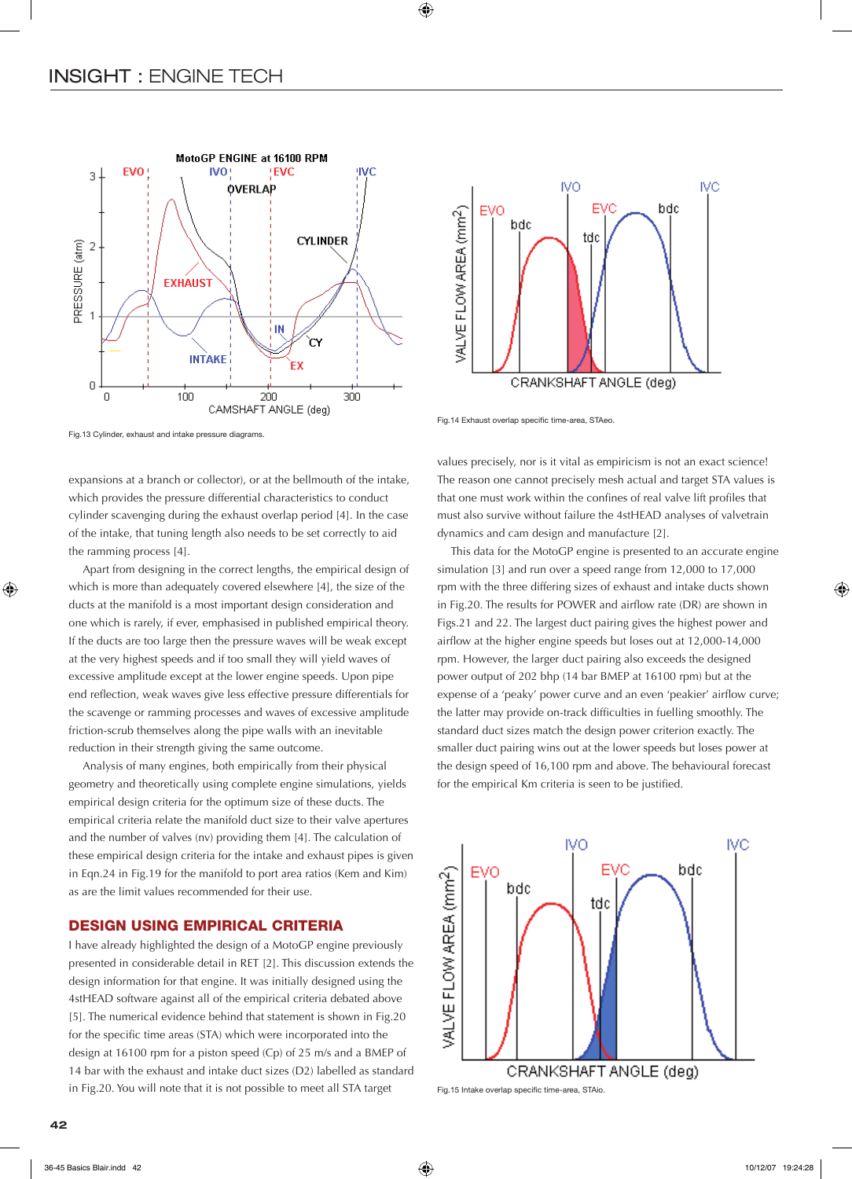



Fig.14 Exhaust overlap specific time-area, STAeo.

Fig.13 Cylinder, exhaust and intake pressure diagrams.

expansions at a branch or collector), or at the bellmouth of the intake, which provides the pressure differential characteristics to conduct cylinder scavenging during the exhaust overlap period [4]. In the case of the intake, that tuning length also needs to be set correctly to aid the ramming process [4].

 Apart from designing in the correct lengths, the empirical design of which is more than adequately covered elsewhere [4], the size of the ducts at the manifold is a most important design consideration and one which is rarely, if ever, emphasised in published empirical theory. If the ducts are too large then the pressure waves will be weak except at the very highest speeds and if too small they will yield waves of excessive amplitude except at the lower engine speeds. Upon pipe end reflection, weak waves give less effective pressure differentials for the scavenge or ramming processes and waves of excessive amplitude friction-scrub themselves along the pipe walls with an inevitable reduction in their strength giving the same outcome.

 Analysis of many engines, both empirically from their physical geometry and theoretically using complete engine simulations, yields empirical design criteria for the optimum size of these ducts. The empirical criteria relate the manifold duct size to their valve apertures and the number of valves (nv) providing them [4]. The calculation of these empirical design criteria for the intake and exhaust pipes is given in Eqn.24 in Fig.19 for the manifold to port area ratios (Kem and Kim) as are the limit values recommended for their use.

### DESIGN USING EMPIRICAL CRITERIA

I have already highlighted the design of a MotoGP engine previously presented in considerable detail in RET [2]. This discussion extends the design information for that engine. It was initially designed using the 4stHEAD software against all of the empirical criteria debated above [5]. The numerical evidence behind that statement is shown in Fig.20 for the specific time areas (STA) which were incorporated into the design at 16100 rpm for a piston speed (Cp) of 25 m/s and a BMEP of 14 bar with the exhaust and intake duct sizes (D2) labelled as standard in Fig.20. You will note that it is not possible to meet all STA target

values precisely, nor is it vital as empiricism is not an exact science! The reason one cannot precisely mesh actual and target STA values is that one must work within the confines of real valve lift profiles that must also survive without failure the 4stHEAD analyses of valvetrain dynamics and cam design and manufacture [2].

 This data for the MotoGP engine is presented to an accurate engine simulation [3] and run over a speed range from 12,000 to 17,000 rpm with the three differing sizes of exhaust and intake ducts shown in Fig.20. The results for POWER and airflow rate (DR) are shown in Figs.21 and 22. The largest duct pairing gives the highest power and airflow at the higher engine speeds but loses out at 12,000-14,000 rpm. However, the larger duct pairing also exceeds the designed power output of 202 bhp (14 bar BMEP at 16100 rpm) but at the expense of a 'peaky' power curve and an even 'peakier' airflow curve; the latter may provide on-track difficulties in fuelling smoothly. The standard duct sizes match the design power criterion exactly. The smaller duct pairing wins out at the lower speeds but loses power at the design speed of 16,100 rpm and above. The behavioural forecast for the empirical Km criteria is seen to be justified.



Fig.15 Intake overlap specific time-area, STAio.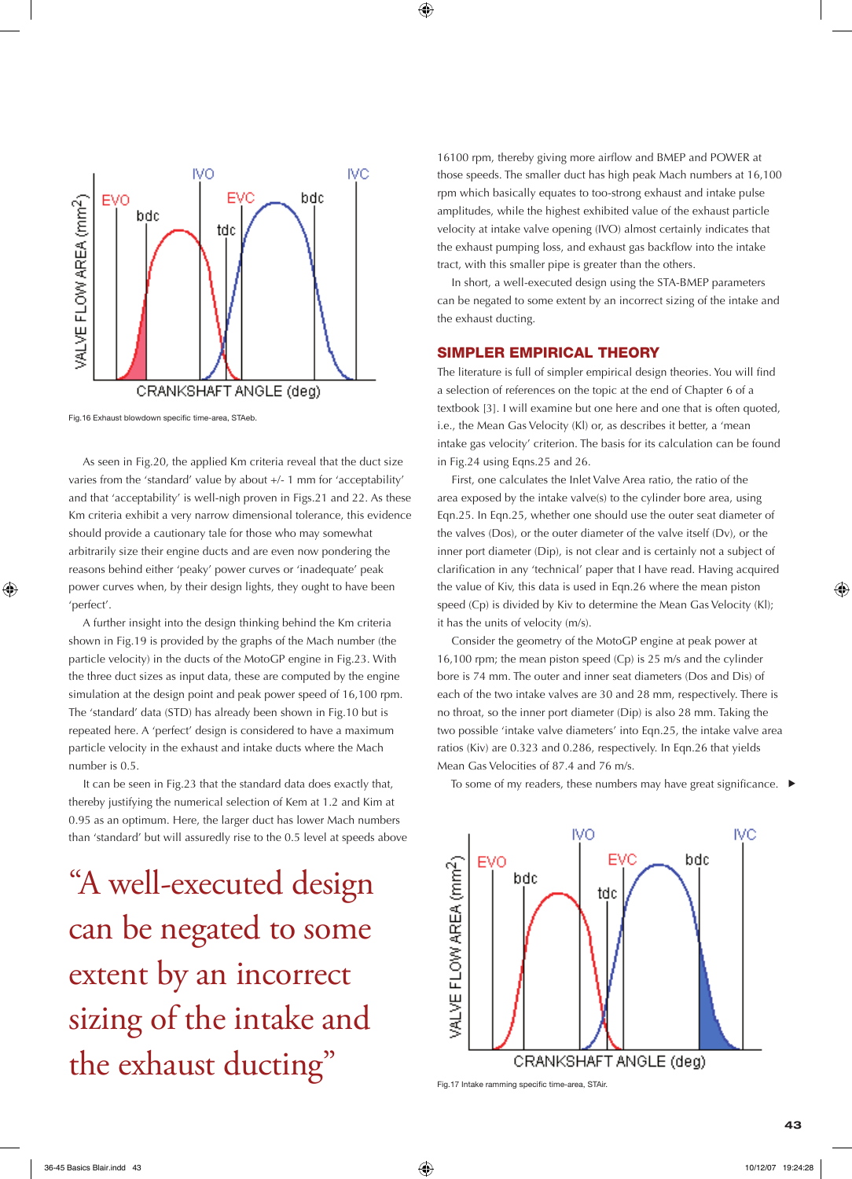

Fig.16 Exhaust blowdown specific time-area, STAeb.

 As seen in Fig.20, the applied Km criteria reveal that the duct size varies from the 'standard' value by about +/- 1 mm for 'acceptability' and that 'acceptability' is well-nigh proven in Figs.21 and 22. As these Km criteria exhibit a very narrow dimensional tolerance, this evidence should provide a cautionary tale for those who may somewhat arbitrarily size their engine ducts and are even now pondering the reasons behind either 'peaky' power curves or 'inadequate' peak power curves when, by their design lights, they ought to have been 'perfect'.

 A further insight into the design thinking behind the Km criteria shown in Fig.19 is provided by the graphs of the Mach number (the particle velocity) in the ducts of the MotoGP engine in Fig.23. With the three duct sizes as input data, these are computed by the engine simulation at the design point and peak power speed of 16,100 rpm. The 'standard' data (STD) has already been shown in Fig.10 but is repeated here. A 'perfect' design is considered to have a maximum particle velocity in the exhaust and intake ducts where the Mach number is 0.5.

 It can be seen in Fig.23 that the standard data does exactly that, thereby justifying the numerical selection of Kem at 1.2 and Kim at 0.95 as an optimum. Here, the larger duct has lower Mach numbers than 'standard' but will assuredly rise to the 0.5 level at speeds above

"A well-executed design can be negated to some extent by an incorrect sizing of the intake and the exhaust ducting"

16100 rpm, thereby giving more airflow and BMEP and POWER at those speeds. The smaller duct has high peak Mach numbers at 16,100 rpm which basically equates to too-strong exhaust and intake pulse amplitudes, while the highest exhibited value of the exhaust particle velocity at intake valve opening (IVO) almost certainly indicates that the exhaust pumping loss, and exhaust gas backflow into the intake tract, with this smaller pipe is greater than the others.

 In short, a well-executed design using the STA-BMEP parameters can be negated to some extent by an incorrect sizing of the intake and the exhaust ducting.

#### SIMPLER EMPIRICAL THEORY

The literature is full of simpler empirical design theories. You will find a selection of references on the topic at the end of Chapter 6 of a textbook [3]. I will examine but one here and one that is often quoted, i.e., the Mean Gas Velocity (Kl) or, as describes it better, a 'mean intake gas velocity' criterion. The basis for its calculation can be found in Fig.24 using Eqns.25 and 26.

 First, one calculates the Inlet Valve Area ratio, the ratio of the area exposed by the intake valve(s) to the cylinder bore area, using Eqn.25. In Eqn.25, whether one should use the outer seat diameter of the valves (Dos), or the outer diameter of the valve itself (Dv), or the inner port diameter (Dip), is not clear and is certainly not a subject of clarification in any 'technical' paper that I have read. Having acquired the value of Kiv, this data is used in Eqn.26 where the mean piston speed (Cp) is divided by Kiv to determine the Mean Gas Velocity (Kl); it has the units of velocity (m/s).

 Consider the geometry of the MotoGP engine at peak power at 16,100 rpm; the mean piston speed (Cp) is 25 m/s and the cylinder bore is 74 mm. The outer and inner seat diameters (Dos and Dis) of each of the two intake valves are 30 and 28 mm, respectively. There is no throat, so the inner port diameter (Dip) is also 28 mm. Taking the two possible 'intake valve diameters' into Eqn.25, the intake valve area ratios (Kiv) are 0.323 and 0.286, respectively. In Eqn.26 that yields Mean Gas Velocities of 87.4 and 76 m/s.

To some of my readers, these numbers may have great significance. ▶



Fig.17 Intake ramming specific time-area, STAir.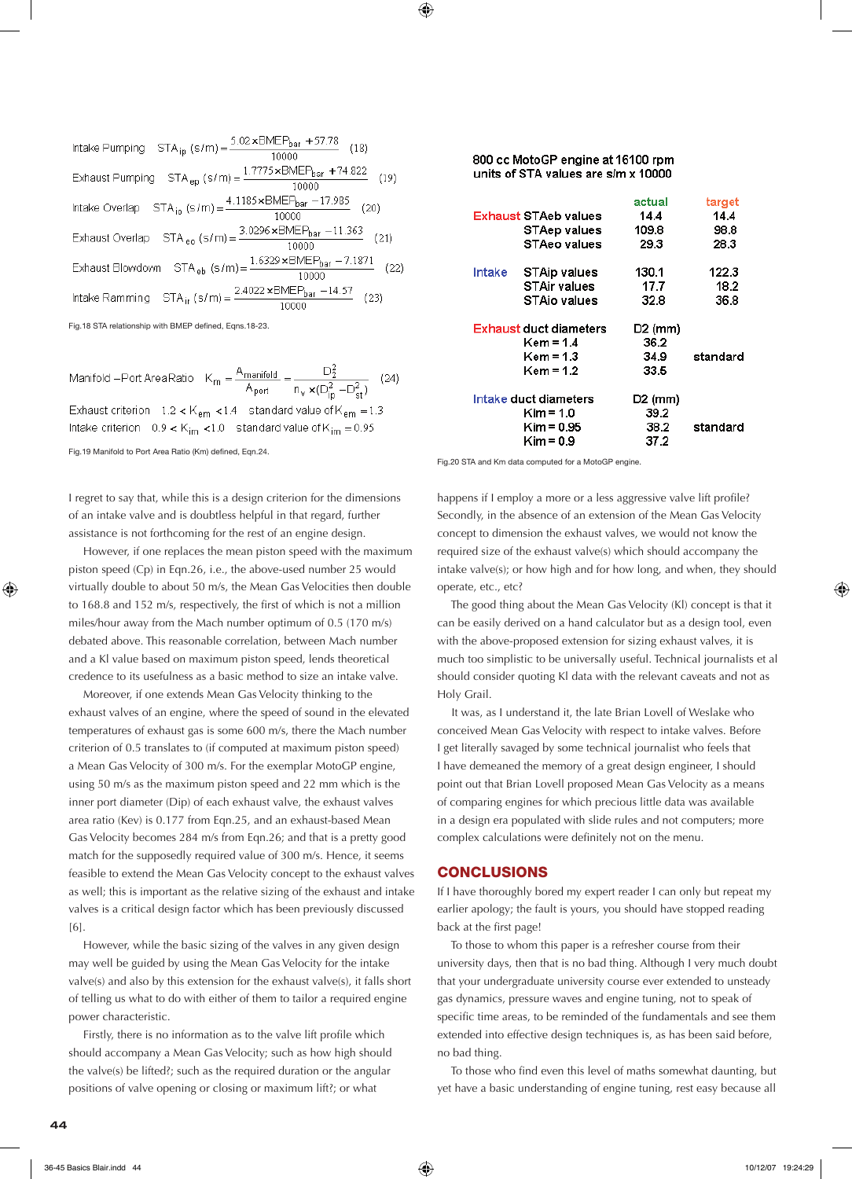Intake Pumping STA<sub>ip</sub> (s/m) =  $\frac{5.02 \times \text{BMEP}_{\text{bar}} + 57.78}{10000}$  (18) Exhaust Pumping STA <sub>ep</sub> (s/m) =  $\frac{1.7775 \times \text{BMEP}_{bar} + 74.822}{10000}$  $(19)$ Intake Overlap  $STA_{io}(s/m) = \frac{4.1185 \times BMEP_{bar} - 17.985}{10000}$  $(20)$ Exhaust Overlap STA <sub>eq</sub> (s/m) =  $\frac{3.0296 \times BMEP_{bar} - 11.363}{10000}$ Exhaust Blowdown STA eb  $(s/m) = \frac{1.6329 \times BMEP_{bar} - 7.1871}{10000}$  $(22)$ 10000 Intake Ramming STA<sub>ir</sub> (s/m) =  $\frac{2.4022 \times \text{BMEP}_{\text{bar}} - 14.57}{10000}$  $(23)$ 

Fig.18 STA relationship with BMEP defined, Eqns.18-23.

Manifold --Port Area Ratio  $K_m = \frac{A_{\text{manifold}}}{A_{\text{pot}}} = \frac{D_2^2}{n_v \times (D_{\text{ip}}^2 - D_{\text{st}}^2)}$  (24) Exhaust criterion  $1.2 < K_{\text{em}} < 1.4$  standard value of  $K_{\text{em}} = 1.3$ Intake criterion  $-0.9 < K_{im} < 1.0$  standard value of  $K_{im} = 0.95$ Fig.19 Manifold to Port Area Ratio (Km) defined, Eqn.24.

I regret to say that, while this is a design criterion for the dimensions of an intake valve and is doubtless helpful in that regard, further assistance is not forthcoming for the rest of an engine design.

 However, if one replaces the mean piston speed with the maximum piston speed (Cp) in Eqn.26, i.e., the above-used number 25 would virtually double to about 50 m/s, the Mean Gas Velocities then double to 168.8 and 152 m/s, respectively, the first of which is not a million miles/hour away from the Mach number optimum of 0.5 (170 m/s) debated above. This reasonable correlation, between Mach number and a Kl value based on maximum piston speed, lends theoretical credence to its usefulness as a basic method to size an intake valve.

 Moreover, if one extends Mean Gas Velocity thinking to the exhaust valves of an engine, where the speed of sound in the elevated temperatures of exhaust gas is some 600 m/s, there the Mach number criterion of 0.5 translates to (if computed at maximum piston speed) a Mean Gas Velocity of 300 m/s. For the exemplar MotoGP engine, using 50 m/s as the maximum piston speed and 22 mm which is the inner port diameter (Dip) of each exhaust valve, the exhaust valves area ratio (Kev) is 0.177 from Eqn.25, and an exhaust-based Mean Gas Velocity becomes 284 m/s from Eqn.26; and that is a pretty good match for the supposedly required value of 300 m/s. Hence, it seems feasible to extend the Mean Gas Velocity concept to the exhaust valves as well; this is important as the relative sizing of the exhaust and intake valves is a critical design factor which has been previously discussed [6].

 However, while the basic sizing of the valves in any given design may well be guided by using the Mean Gas Velocity for the intake valve(s) and also by this extension for the exhaust valve(s), it falls short of telling us what to do with either of them to tailor a required engine power characteristic.

 Firstly, there is no information as to the valve lift profile which should accompany a Mean Gas Velocity; such as how high should the valve(s) be lifted?; such as the required duration or the angular positions of valve opening or closing or maximum lift?; or what

#### 800 cc MotoGP engine at 16100 rpm units of STA values are s/m x 10000

|                        | actual    | target   |
|------------------------|-----------|----------|
| Exhaust STAeb values   | 14.4      | 14.4     |
| <b>STAep values</b>    | 109.8     | 98.8     |
| <b>STAeo values</b>    | 29.3      | 28.3     |
| Intake<br>STAip values | 130.1     | 122.3    |
| STAir values           | 17.7      | 18.2     |
| STAio values           | 32.8      | 36.8     |
|                        |           |          |
| Exhaust duct diameters | $D2$ (mm) |          |
| Kem = 1.4              | 36.2      |          |
| Kem = 1.3              | 34.9      | standard |
| Kem = 1.2              | 33.5      |          |
| Intake duct diameters  | $D2$ (mm) |          |
| $Kim = 1.0$            | 39.2      |          |
| Kim = 0.95             | 38.2      | standard |

Fig.20 STA and Km data computed for a MotoGP engine.

happens if I employ a more or a less aggressive valve lift profile? Secondly, in the absence of an extension of the Mean Gas Velocity concept to dimension the exhaust valves, we would not know the required size of the exhaust valve(s) which should accompany the intake valve(s); or how high and for how long, and when, they should operate, etc., etc?

 The good thing about the Mean Gas Velocity (Kl) concept is that it can be easily derived on a hand calculator but as a design tool, even with the above-proposed extension for sizing exhaust valves, it is much too simplistic to be universally useful. Technical journalists et al should consider quoting Kl data with the relevant caveats and not as Holy Grail.

 It was, as I understand it, the late Brian Lovell of Weslake who conceived Mean Gas Velocity with respect to intake valves. Before I get literally savaged by some technical journalist who feels that I have demeaned the memory of a great design engineer, I should point out that Brian Lovell proposed Mean Gas Velocity as a means of comparing engines for which precious little data was available in a design era populated with slide rules and not computers; more complex calculations were definitely not on the menu.

#### **CONCLUSIONS**

If I have thoroughly bored my expert reader I can only but repeat my earlier apology; the fault is yours, you should have stopped reading back at the first page!

 To those to whom this paper is a refresher course from their university days, then that is no bad thing. Although I very much doubt that your undergraduate university course ever extended to unsteady gas dynamics, pressure waves and engine tuning, not to speak of specific time areas, to be reminded of the fundamentals and see them extended into effective design techniques is, as has been said before, no bad thing.

 To those who find even this level of maths somewhat daunting, but yet have a basic understanding of engine tuning, rest easy because all